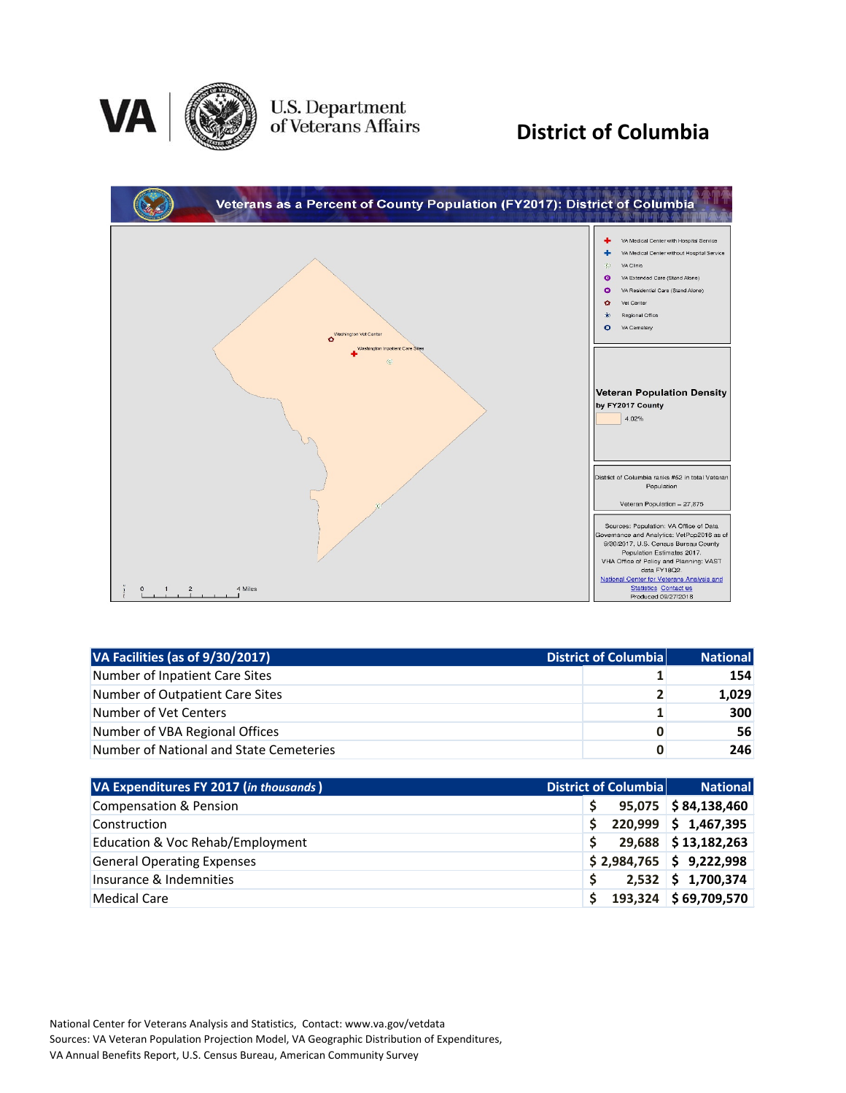

U.S. Department<br>of Veterans Affairs

### **District of Columbia**



| VA Facilities (as of 9/30/2017)<br>District of Columbia |   | <b>National</b> |
|---------------------------------------------------------|---|-----------------|
| Number of Inpatient Care Sites                          |   | 154             |
| Number of Outpatient Care Sites                         |   | 1,029           |
| Number of Vet Centers                                   |   | <b>300</b>      |
| Number of VBA Regional Offices                          | 0 | 56              |
| Number of National and State Cemeteries                 | 0 | 246             |

| VA Expenditures FY 2017 (in thousands) |    | District of Columbia | <b>National</b>           |
|----------------------------------------|----|----------------------|---------------------------|
| <b>Compensation &amp; Pension</b>      |    |                      | $95,075$ \$84,138,460     |
| Construction                           | S. |                      | $220,999$ \$ 1,467,395    |
| Education & Voc Rehab/Employment       |    |                      | 29,688 \$13,182,263       |
| <b>General Operating Expenses</b>      |    |                      | $$2,984,765$ $$9,222,998$ |
| Insurance & Indemnities                |    |                      | $2,532$ \$ 1,700,374      |
| <b>Medical Care</b>                    |    |                      | 193,324 \$69,709,570      |

National Center for Veterans Analysis and Statistics, Contact: www.va.gov/vetdata Sources: VA Veteran Population Projection Model, VA Geographic Distribution of Expenditures, VA Annual Benefits Report, U.S. Census Bureau, American Community Survey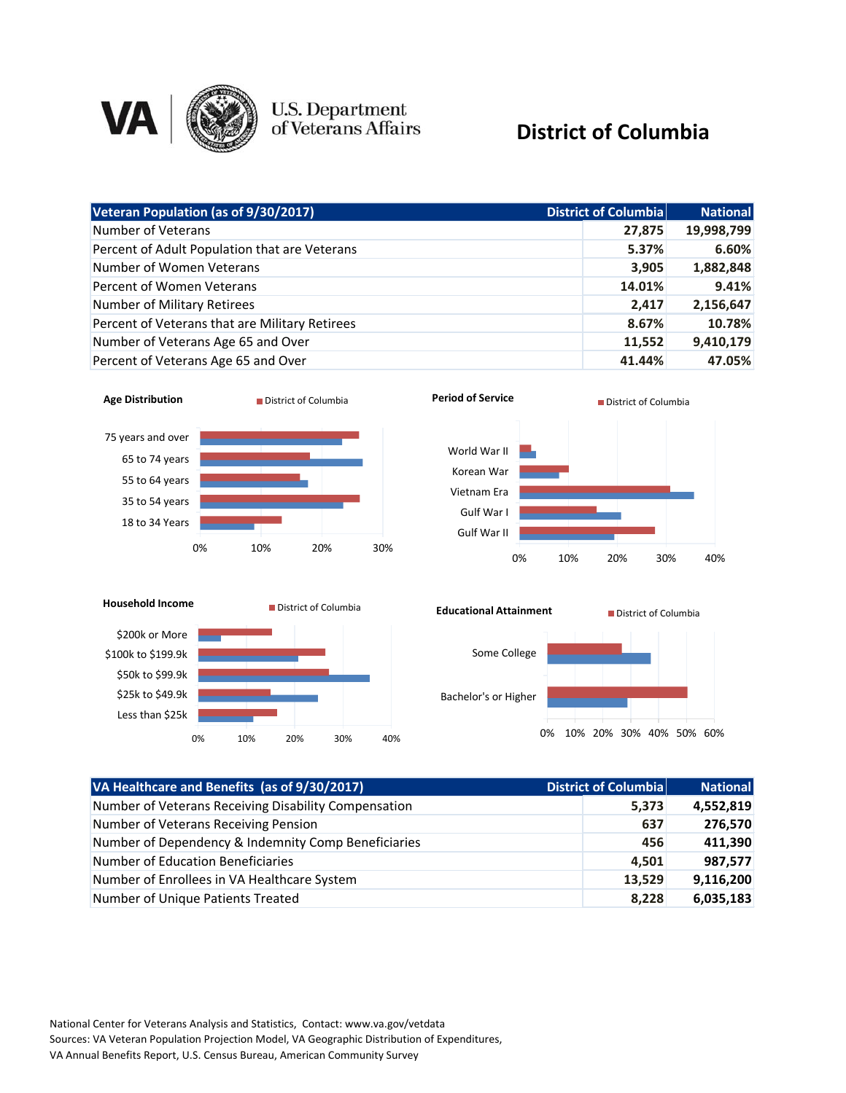

# U.S. Department<br>of Veterans Affairs

#### **District of Columbia**

| Veteran Population (as of 9/30/2017)           | District of Columbia | <b>National</b> |
|------------------------------------------------|----------------------|-----------------|
| Number of Veterans                             | 27,875               | 19,998,799      |
| Percent of Adult Population that are Veterans  | 5.37%                | 6.60%           |
| Number of Women Veterans                       | 3,905                | 1,882,848       |
| Percent of Women Veterans                      | 14.01%               | 9.41%           |
| Number of Military Retirees                    | 2,417                | 2,156,647       |
| Percent of Veterans that are Military Retirees | 8.67%                | 10.78%          |
| Number of Veterans Age 65 and Over             | 11,552               | 9,410,179       |
| Percent of Veterans Age 65 and Over            | 41.44%               | 47.05%          |











| VA Healthcare and Benefits (as of 9/30/2017)         | District of Columbia | <b>National</b> |
|------------------------------------------------------|----------------------|-----------------|
| Number of Veterans Receiving Disability Compensation | 5,373                | 4,552,819       |
| Number of Veterans Receiving Pension                 | 637                  | 276,570         |
| Number of Dependency & Indemnity Comp Beneficiaries  | 456                  | 411,390         |
| Number of Education Beneficiaries                    | 4,501                | 987,577         |
| Number of Enrollees in VA Healthcare System          | 13,529               | 9,116,200       |
| Number of Unique Patients Treated                    | 8,228                | 6,035,183       |